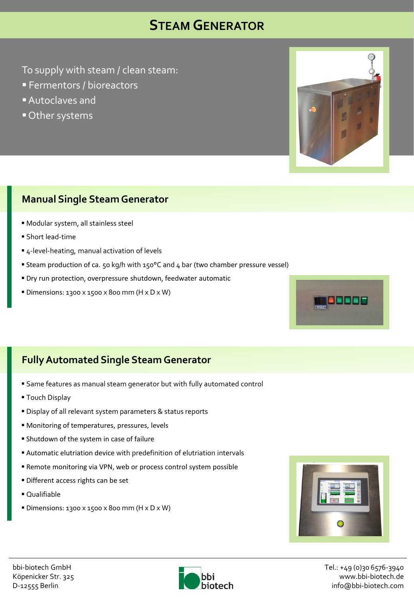## **STEAM GENERATOR**

To supply with steam / clean steam:

- **Fermentors / bioreactors**
- Autoclaves and
- Other systems

### **Manual Single Steam Generator**

- Modular system, all stainless steel
- Short lead-time
- 4-level-heating, manual activation of levels
- Steam production of ca. 50 kg/h with 150°C and 4 bar (two chamber pressure vessel)
- Dry run protection, overpressure shutdown, feedwater automatic
- Dimensions: 1300 x 1500 x 800 mm (H x D x W)

### **FullyAutomated Single Steam Generator**

- Same features as manual steam generator but with fully automated control
- **Touch Display**
- Display of all relevant system parameters & status reports
- Monitoring of temperatures, pressures, levels
- Shutdown of the system in case of failure
- Automatic elutriation device with predefinition of elutriation intervals
- Remote monitoring via VPN, web or process control system possible
- Different access rights can be set
- Qualifiable
- Dimensions: 1300 x 1500 x 800 mm (H x D x W)